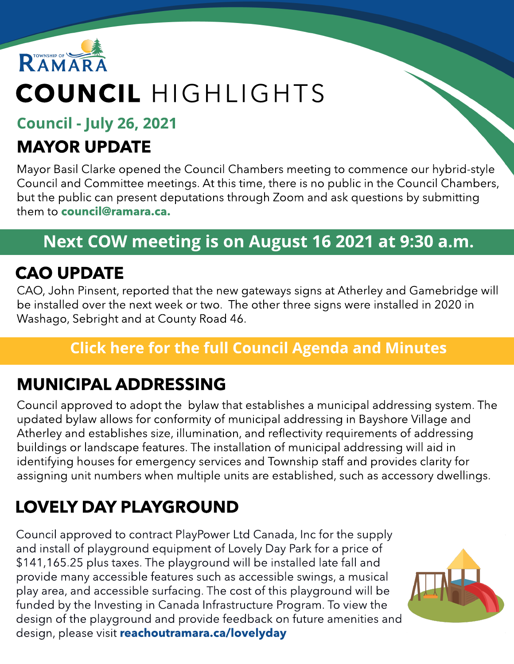

## COUNCIL HIGHLIGHTS

#### Council - July 26, 2021

### MAYOR UPDATE

Mayor Basil Clarke opened the Council Chambers meeting to commence our hybrid-style Council and Committee meetings. At this time, there is no public in the Council Chambers, but the public can present deputations through Zoom and ask questions by submitting them to **[council@ramara.ca.](mailto:council@ramara.ca)** 

#### Next COW meeting is on August 16 2021 at 9:30 a.m.

#### CAO UPDATE

CAO, John Pinsent, reported that the new gateways signs at Atherley and Gamebridge will be installed over the next week or two. The other three signs were installed in 2020 in Washago, Sebright and at County Road 46.

#### **[Click](https://ramara.civicweb.net/portal/) [here](https://ramara.civicweb.net/portal/) [for](https://ramara.civicweb.net/portal/) t[he](https://ramara.civicweb.net/portal/) [full](https://ramara.civicweb.net/portal/) [Council](https://ramara.civicweb.net/portal/) [Agenda](https://ramara.civicweb.net/portal/) [and](https://ramara.civicweb.net/portal/) [Minut](https://ramara.civicweb.net/portal/)es**

### MUNICIPAL ADDRESSING

Council approved to adopt the bylaw that establishes a municipal addressing system. The updated bylaw allows for conformity of municipal addressing in Bayshore Village and Atherley and establishes size, illumination, and reflectivity requirements of addressing buildings or landscape features. The installation of municipal addressing will aid in identifying houses for emergency services and Township staff and provides clarity for assigning unit numbers when multiple units are established, such as accessory dwellings.

## LOVELY DAY PLAYGROUND

Council approved to contract PlayPower Ltd Canada, Inc for the supply and install of playground equipment of Lovely Day Park for a price of \$141,165.25 plus taxes. The playground will be installed late fall and provide many accessible features such as accessible swings, a musical play area, and accessible surfacing. The cost of this playground will be funded by the Investing in Canada Infrastructure Program. To view the design of the playground and provide feedback on future amenities and design, please visit [reachoutramara.ca/lovelyday](https://reachoutramara.ca/lovely-day-playground)